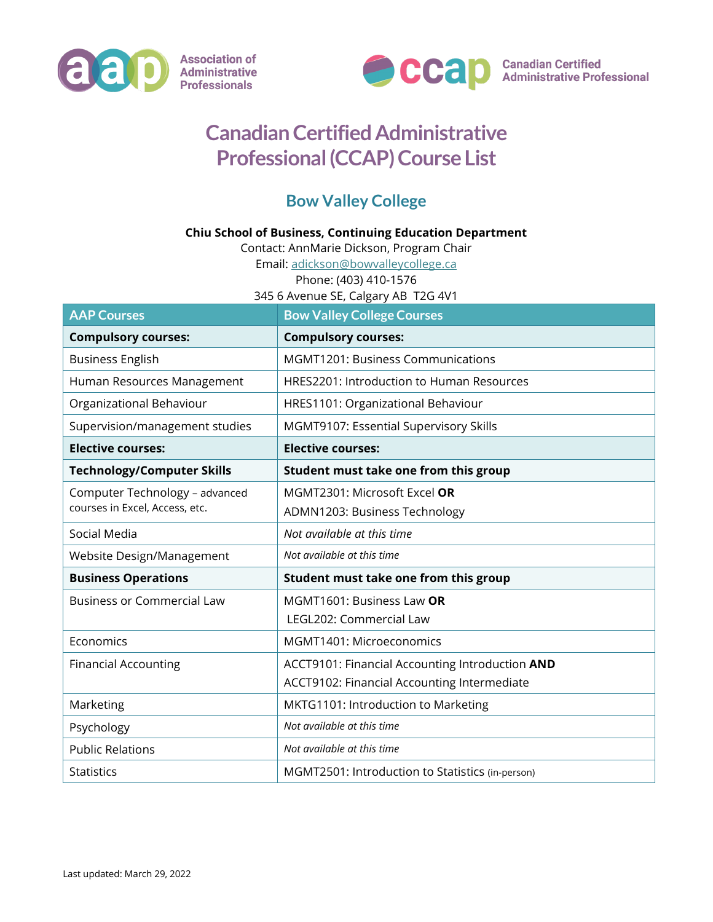



Canadian Certified<br>Administrative Professional

## **Canadian Certified Administrative Professional (CCAP) Course List**

## **Bow Valley College**

## **Chiu School of Business, Continuing Education Department**

Contact: AnnMarie Dickson, Program Chair

Email: [adickson@bowvalleycollege.ca](mailto:adickson@bowvalleycollege.ca)

Phone: (403) 410-1576

345 6 Avenue SE, Calgary AB T2G 4V1

| <b>AAP Courses</b>                                               | <b>Bow Valley College Courses</b>                |
|------------------------------------------------------------------|--------------------------------------------------|
| <b>Compulsory courses:</b>                                       | <b>Compulsory courses:</b>                       |
| <b>Business English</b>                                          | <b>MGMT1201: Business Communications</b>         |
| Human Resources Management                                       | HRES2201: Introduction to Human Resources        |
| Organizational Behaviour                                         | HRES1101: Organizational Behaviour               |
| Supervision/management studies                                   | MGMT9107: Essential Supervisory Skills           |
| <b>Elective courses:</b>                                         | <b>Elective courses:</b>                         |
| <b>Technology/Computer Skills</b>                                | Student must take one from this group            |
| Computer Technology - advanced<br>courses in Excel, Access, etc. | MGMT2301: Microsoft Excel OR                     |
|                                                                  | ADMN1203: Business Technology                    |
| Social Media                                                     | Not available at this time                       |
| Website Design/Management                                        | Not available at this time                       |
| <b>Business Operations</b>                                       | Student must take one from this group            |
| <b>Business or Commercial Law</b>                                | MGMT1601: Business Law OR                        |
|                                                                  | LEGL202: Commercial Law                          |
| Economics                                                        | MGMT1401: Microeconomics                         |
| <b>Financial Accounting</b>                                      | ACCT9101: Financial Accounting Introduction AND  |
|                                                                  | ACCT9102: Financial Accounting Intermediate      |
| Marketing                                                        | MKTG1101: Introduction to Marketing              |
| Psychology                                                       | Not available at this time                       |
| <b>Public Relations</b>                                          | Not available at this time                       |
| <b>Statistics</b>                                                | MGMT2501: Introduction to Statistics (in-person) |